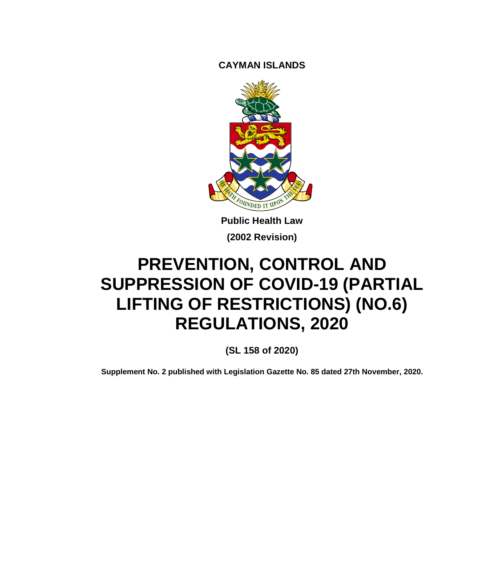**CAYMAN ISLANDS**



**Public Health Law (2002 Revision)**

# **PREVENTION, CONTROL AND SUPPRESSION OF COVID-19 (PARTIAL LIFTING OF RESTRICTIONS) (NO.6) REGULATIONS, 2020**

**(SL 158 of 2020)**

**Supplement No. 2 published with Legislation Gazette No. 85 dated 27th November, 2020.**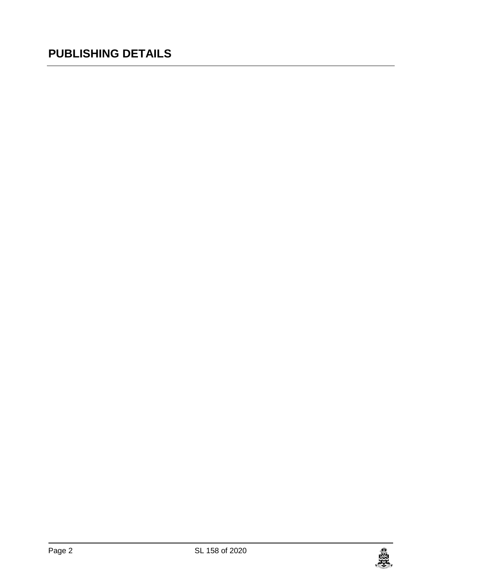## **PUBLISHING DETAILS**

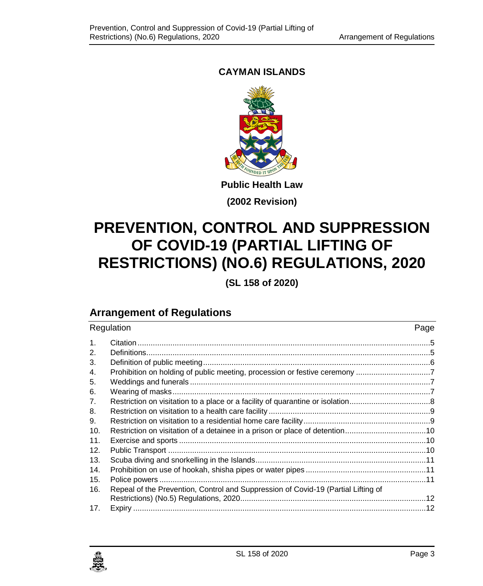## **CAYMAN ISLANDS**



## **(2002 Revision)**

# **PREVENTION, CONTROL AND SUPPRESSION OF COVID-19 (PARTIAL LIFTING OF RESTRICTIONS) (NO.6) REGULATIONS, 2020**

**(SL 158 of 2020)**

## **Arrangement of Regulations**

| Regulation |                                                                                   | Page |
|------------|-----------------------------------------------------------------------------------|------|
| 1.         |                                                                                   |      |
| 2.         |                                                                                   |      |
| 3.         |                                                                                   |      |
| 4.         | Prohibition on holding of public meeting, procession or festive ceremony 7        |      |
| 5.         |                                                                                   |      |
| 6.         |                                                                                   |      |
| 7.         |                                                                                   |      |
| 8.         |                                                                                   |      |
| 9.         |                                                                                   |      |
| 10.        |                                                                                   |      |
| 11.        |                                                                                   |      |
| 12.        |                                                                                   |      |
| 13.        |                                                                                   |      |
| 14.        |                                                                                   |      |
| 15.        |                                                                                   |      |
| 16.        | Repeal of the Prevention, Control and Suppression of Covid-19 (Partial Lifting of |      |
|            |                                                                                   |      |
| 17.        |                                                                                   |      |

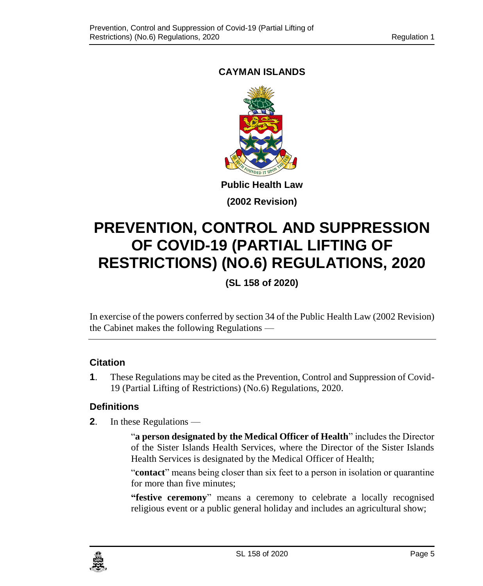## <span id="page-4-0"></span>**CAYMAN ISLANDS**



**(2002 Revision)**

# **PREVENTION, CONTROL AND SUPPRESSION OF COVID-19 (PARTIAL LIFTING OF RESTRICTIONS) (NO.6) REGULATIONS, 2020**

**(SL 158 of 2020)**

In exercise of the powers conferred by section 34 of the Public Health Law (2002 Revision) the Cabinet makes the following Regulations —

## **1. Citation**

**1**. These Regulations may be cited as the Prevention, Control and Suppression of Covid-19 (Partial Lifting of Restrictions) (No.6) Regulations, 2020.

## <span id="page-4-1"></span>**2. Definitions**

**2**. In these Regulations —

"**a person designated by the Medical Officer of Health**" includes the Director of the Sister Islands Health Services, where the Director of the Sister Islands Health Services is designated by the Medical Officer of Health;

"**contact**" means being closer than six feet to a person in isolation or quarantine for more than five minutes;

**"festive ceremony**" means a ceremony to celebrate a locally recognised religious event or a public general holiday and includes an agricultural show;

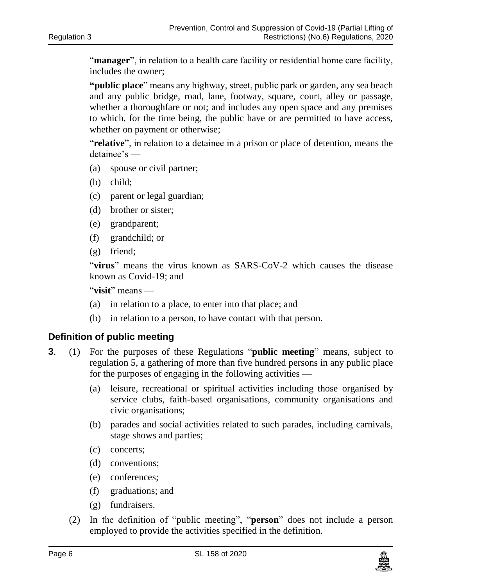"**manager**", in relation to a health care facility or residential home care facility, includes the owner;

**"public place**" means any highway, street, public park or garden, any sea beach and any public bridge, road, lane, footway, square, court, alley or passage, whether a thoroughfare or not; and includes any open space and any premises to which, for the time being, the public have or are permitted to have access, whether on payment or otherwise;

"**relative**", in relation to a detainee in a prison or place of detention, means the detainee's —

- (a) spouse or civil partner;
- (b) child;
- (c) parent or legal guardian;
- (d) brother or sister;
- (e) grandparent;
- (f) grandchild; or
- (g) friend;

"**virus**" means the virus known as SARS-CoV-2 which causes the disease known as Covid-19; and

"**visit**" means —

- (a) in relation to a place, to enter into that place; and
- (b) in relation to a person, to have contact with that person.

#### <span id="page-5-0"></span>**3. Definition of public meeting**

- **3**. (1) For the purposes of these Regulations "**public meeting**" means, subject to regulation 5, a gathering of more than five hundred persons in any public place for the purposes of engaging in the following activities —
	- (a) leisure, recreational or spiritual activities including those organised by service clubs, faith-based organisations, community organisations and civic organisations;
	- (b) parades and social activities related to such parades, including carnivals, stage shows and parties;
	- (c) concerts;
	- (d) conventions;
	- (e) conferences;
	- (f) graduations; and
	- (g) fundraisers.
	- (2) In the definition of "public meeting", "**person**" does not include a person employed to provide the activities specified in the definition.

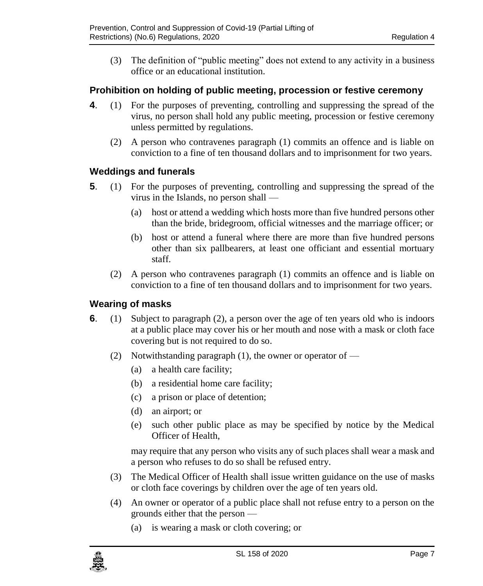(3) The definition of "public meeting" does not extend to any activity in a business office or an educational institution.

## <span id="page-6-0"></span>**4. Prohibition on holding of public meeting, procession or festive ceremony**

- **4**. (1) For the purposes of preventing, controlling and suppressing the spread of the virus, no person shall hold any public meeting, procession or festive ceremony unless permitted by regulations.
	- (2) A person who contravenes paragraph (1) commits an offence and is liable on conviction to a fine of ten thousand dollars and to imprisonment for two years.

## <span id="page-6-1"></span>**5. Weddings and funerals**

- **5**. (1) For the purposes of preventing, controlling and suppressing the spread of the virus in the Islands, no person shall —
	- (a) host or attend a wedding which hosts more than five hundred persons other than the bride, bridegroom, official witnesses and the marriage officer; or
	- (b) host or attend a funeral where there are more than five hundred persons other than six pallbearers, at least one officiant and essential mortuary staff.
	- (2) A person who contravenes paragraph (1) commits an offence and is liable on conviction to a fine of ten thousand dollars and to imprisonment for two years.

## <span id="page-6-2"></span>**6. Wearing of masks**

- **6**. (1) Subject to paragraph (2), a person over the age of ten years old who is indoors at a public place may cover his or her mouth and nose with a mask or cloth face covering but is not required to do so.
	- (2) Notwithstanding paragraph (1), the owner or operator of  $-$ 
		- (a) a health care facility;
		- (b) a residential home care facility;
		- (c) a prison or place of detention;
		- (d) an airport; or
		- (e) such other public place as may be specified by notice by the Medical Officer of Health,

may require that any person who visits any of such places shall wear a mask and a person who refuses to do so shall be refused entry.

- (3) The Medical Officer of Health shall issue written guidance on the use of masks or cloth face coverings by children over the age of ten years old.
- (4) An owner or operator of a public place shall not refuse entry to a person on the grounds either that the person —
	- (a) is wearing a mask or cloth covering; or

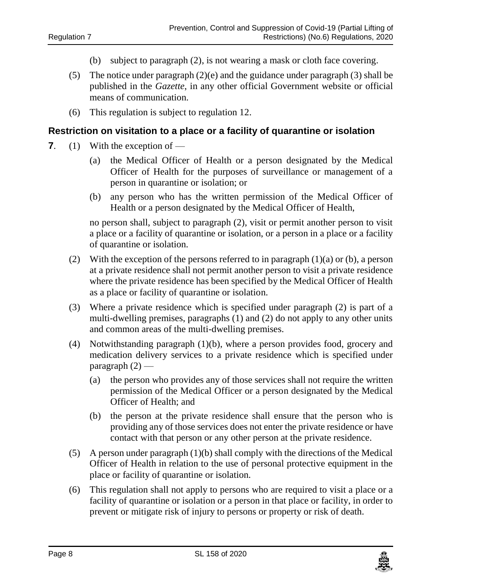- (b) subject to paragraph (2), is not wearing a mask or cloth face covering.
- (5) The notice under paragraph (2)(e) and the guidance under paragraph (3) shall be published in the *Gazette*, in any other official Government website or official means of communication.
- (6) This regulation is subject to regulation 12.

#### <span id="page-7-0"></span>**7. Restriction on visitation to a place or a facility of quarantine or isolation**

- **7**. (1) With the exception of
	- (a) the Medical Officer of Health or a person designated by the Medical Officer of Health for the purposes of surveillance or management of a person in quarantine or isolation; or
	- (b) any person who has the written permission of the Medical Officer of Health or a person designated by the Medical Officer of Health,

no person shall, subject to paragraph (2), visit or permit another person to visit a place or a facility of quarantine or isolation, or a person in a place or a facility of quarantine or isolation.

- (2) With the exception of the persons referred to in paragraph  $(1)(a)$  or (b), a person at a private residence shall not permit another person to visit a private residence where the private residence has been specified by the Medical Officer of Health as a place or facility of quarantine or isolation.
- (3) Where a private residence which is specified under paragraph (2) is part of a multi-dwelling premises, paragraphs (1) and (2) do not apply to any other units and common areas of the multi-dwelling premises.
- (4) Notwithstanding paragraph (1)(b), where a person provides food, grocery and medication delivery services to a private residence which is specified under paragraph (2) —
	- (a) the person who provides any of those services shall not require the written permission of the Medical Officer or a person designated by the Medical Officer of Health; and
	- (b) the person at the private residence shall ensure that the person who is providing any of those services does not enter the private residence or have contact with that person or any other person at the private residence.
- (5) A person under paragraph (1)(b) shall comply with the directions of the Medical Officer of Health in relation to the use of personal protective equipment in the place or facility of quarantine or isolation.
- (6) This regulation shall not apply to persons who are required to visit a place or a facility of quarantine or isolation or a person in that place or facility, in order to prevent or mitigate risk of injury to persons or property or risk of death.

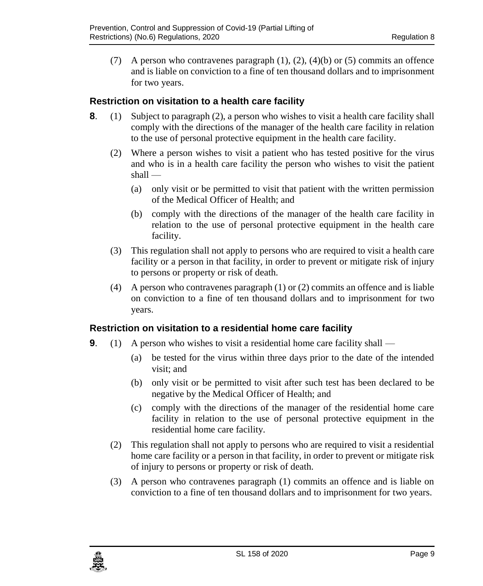(7) A person who contravenes paragraph  $(1)$ ,  $(2)$ ,  $(4)(b)$  or  $(5)$  commits an offence and is liable on conviction to a fine of ten thousand dollars and to imprisonment for two years.

## <span id="page-8-0"></span>**8. Restriction on visitation to a health care facility**

- **8**. (1) Subject to paragraph (2), a person who wishes to visit a health care facility shall comply with the directions of the manager of the health care facility in relation to the use of personal protective equipment in the health care facility.
	- (2) Where a person wishes to visit a patient who has tested positive for the virus and who is in a health care facility the person who wishes to visit the patient shall —
		- (a) only visit or be permitted to visit that patient with the written permission of the Medical Officer of Health; and
		- (b) comply with the directions of the manager of the health care facility in relation to the use of personal protective equipment in the health care facility.
	- (3) This regulation shall not apply to persons who are required to visit a health care facility or a person in that facility, in order to prevent or mitigate risk of injury to persons or property or risk of death.
	- (4) A person who contravenes paragraph (1) or (2) commits an offence and is liable on conviction to a fine of ten thousand dollars and to imprisonment for two years.

## <span id="page-8-1"></span>**9. Restriction on visitation to a residential home care facility**

- **9**. (1) A person who wishes to visit a residential home care facility shall
	- (a) be tested for the virus within three days prior to the date of the intended visit; and
	- (b) only visit or be permitted to visit after such test has been declared to be negative by the Medical Officer of Health; and
	- (c) comply with the directions of the manager of the residential home care facility in relation to the use of personal protective equipment in the residential home care facility.
	- (2) This regulation shall not apply to persons who are required to visit a residential home care facility or a person in that facility, in order to prevent or mitigate risk of injury to persons or property or risk of death.
	- (3) A person who contravenes paragraph (1) commits an offence and is liable on conviction to a fine of ten thousand dollars and to imprisonment for two years.

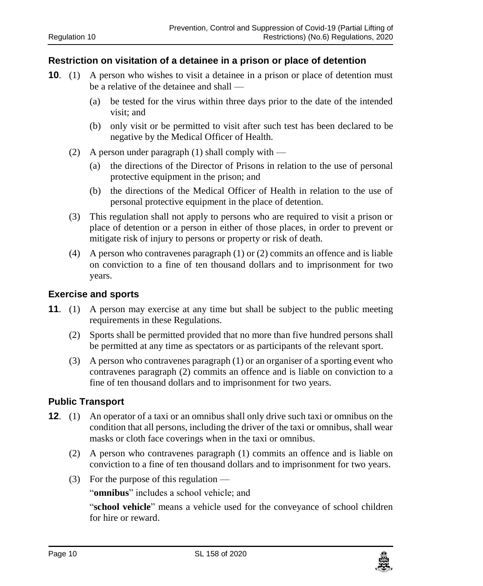#### <span id="page-9-0"></span>**10. Restriction on visitation of a detainee in a prison or place of detention**

- **10.** (1) A person who wishes to visit a detainee in a prison or place of detention must be a relative of the detainee and shall —
	- (a) be tested for the virus within three days prior to the date of the intended visit; and
	- (b) only visit or be permitted to visit after such test has been declared to be negative by the Medical Officer of Health.
	- (2) A person under paragraph (1) shall comply with  $-$ 
		- (a) the directions of the Director of Prisons in relation to the use of personal protective equipment in the prison; and
		- (b) the directions of the Medical Officer of Health in relation to the use of personal protective equipment in the place of detention.
	- (3) This regulation shall not apply to persons who are required to visit a prison or place of detention or a person in either of those places, in order to prevent or mitigate risk of injury to persons or property or risk of death.
	- (4) A person who contravenes paragraph (1) or (2) commits an offence and is liable on conviction to a fine of ten thousand dollars and to imprisonment for two years.

#### <span id="page-9-1"></span>**11. Exercise and sports**

- **11**. (1) A person may exercise at any time but shall be subject to the public meeting requirements in these Regulations.
	- (2) Sports shall be permitted provided that no more than five hundred persons shall be permitted at any time as spectators or as participants of the relevant sport.
	- (3) A person who contravenes paragraph (1) or an organiser of a sporting event who contravenes paragraph (2) commits an offence and is liable on conviction to a fine of ten thousand dollars and to imprisonment for two years.

## <span id="page-9-2"></span>**12. Public Transport**

- **12**. (1) An operator of a taxi or an omnibus shall only drive such taxi or omnibus on the condition that all persons, including the driver of the taxi or omnibus, shall wear masks or cloth face coverings when in the taxi or omnibus.
	- (2) A person who contravenes paragraph (1) commits an offence and is liable on conviction to a fine of ten thousand dollars and to imprisonment for two years.
	- (3) For the purpose of this regulation —

"**omnibus**" includes a school vehicle; and

"**school vehicle**" means a vehicle used for the conveyance of school children for hire or reward.

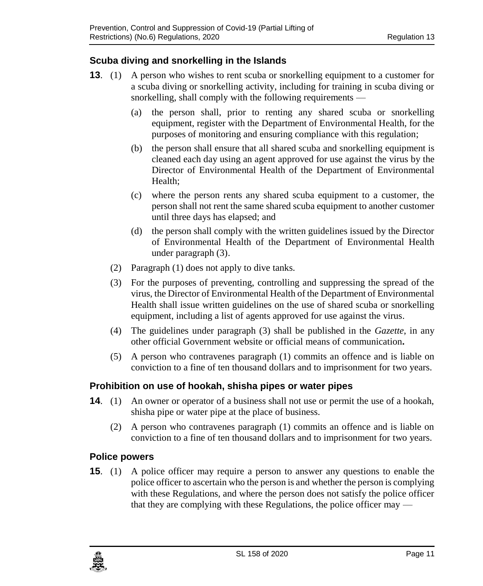## <span id="page-10-0"></span>**13. Scuba diving and snorkelling in the Islands**

- **13**. (1) A person who wishes to rent scuba or snorkelling equipment to a customer for a scuba diving or snorkelling activity, including for training in scuba diving or snorkelling, shall comply with the following requirements —
	- (a) the person shall, prior to renting any shared scuba or snorkelling equipment, register with the Department of Environmental Health, for the purposes of monitoring and ensuring compliance with this regulation;
	- (b) the person shall ensure that all shared scuba and snorkelling equipment is cleaned each day using an agent approved for use against the virus by the Director of Environmental Health of the Department of Environmental Health;
	- (c) where the person rents any shared scuba equipment to a customer, the person shall not rent the same shared scuba equipment to another customer until three days has elapsed; and
	- (d) the person shall comply with the written guidelines issued by the Director of Environmental Health of the Department of Environmental Health under paragraph (3).
	- (2) Paragraph (1) does not apply to dive tanks.
	- (3) For the purposes of preventing, controlling and suppressing the spread of the virus, the Director of Environmental Health of the Department of Environmental Health shall issue written guidelines on the use of shared scuba or snorkelling equipment, including a list of agents approved for use against the virus.
	- (4) The guidelines under paragraph (3) shall be published in the *Gazette*, in any other official Government website or official means of communication**.**
	- (5) A person who contravenes paragraph (1) commits an offence and is liable on conviction to a fine of ten thousand dollars and to imprisonment for two years.

## <span id="page-10-1"></span>**14. Prohibition on use of hookah, shisha pipes or water pipes**

- **14.** (1) An owner or operator of a business shall not use or permit the use of a hookah, shisha pipe or water pipe at the place of business.
	- (2) A person who contravenes paragraph (1) commits an offence and is liable on conviction to a fine of ten thousand dollars and to imprisonment for two years.

## <span id="page-10-2"></span>**15. Police powers**

**15**. (1) A police officer may require a person to answer any questions to enable the police officer to ascertain who the person is and whether the person is complying with these Regulations, and where the person does not satisfy the police officer that they are complying with these Regulations, the police officer may —